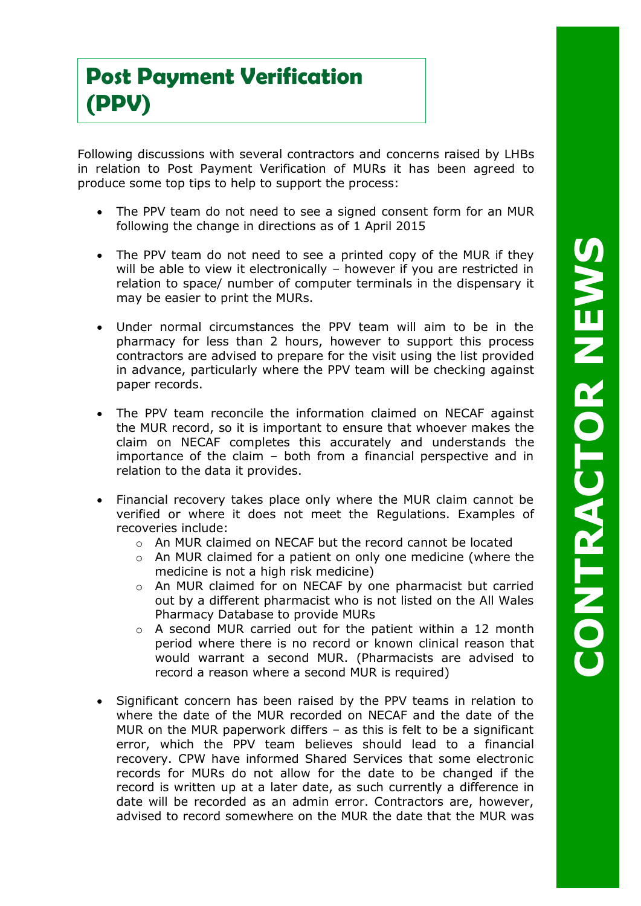Following discussions with several contractors and concerns raised by LHBs in relation to Post Payment Verification of MURs it has been agreed to produce some top tips to help to support the process:

- The PPV team do not need to see a signed consent form for an MUR following the change in directions as of 1 April 2015
- The PPV team do not need to see a printed copy of the MUR if they will be able to view it electronically – however if you are restricted in relation to space/ number of computer terminals in the dispensary it may be easier to print the MURs.
- Under normal circumstances the PPV team will aim to be in the pharmacy for less than 2 hours, however to support this process contractors are advised to prepare for the visit using the list provided in advance , particularly where the PPV team will be checking against paper records.
- The PPV team reconcile the information claimed on NECAF against the MUR record, so it is important to ensure that whoever makes the claim on NECAF completes this accurately and understands the importance of the claim – both from a financial perspective and in relation to the data it provides.
- Financial recovery takes place only where the MUR claim cannot be verified or where it does not meet the Regulations. Examples of recoveries include:
	- o An MUR claimed on NECAF but the record cannot be located
	- o An MUR claimed for a patient on only one medicine (where the medicine is not a high risk medicine)
	- o An MUR claimed for on NECAF by one pharmacist but carried out by a different pharmacist who is not listed on the All Wales Pharmacy Database to provide MURs
	- o A second MUR carried out for the patient within a 12 month period where there is no record or known clinical reason that would warrant a second MUR. (Pharmacists are advised to record a reason where a second MUR is required)
- Significant concern has been raised by the PPV teams in relation to where the date of the MUR recorded on NECAF and the date of the MUR on the MUR paperwork differs – as this is felt to be a significant error, which the PPV team believes should lead to a financial recovery. CPW have informed Shared Services that some electronic records for MURs do not allow for the date to be changed if the record is written up at a later date, as such currently a difference in date will be recorded as an admin error. Contractors are, however, advised to record somewhere on the MUR the date that the MUR was